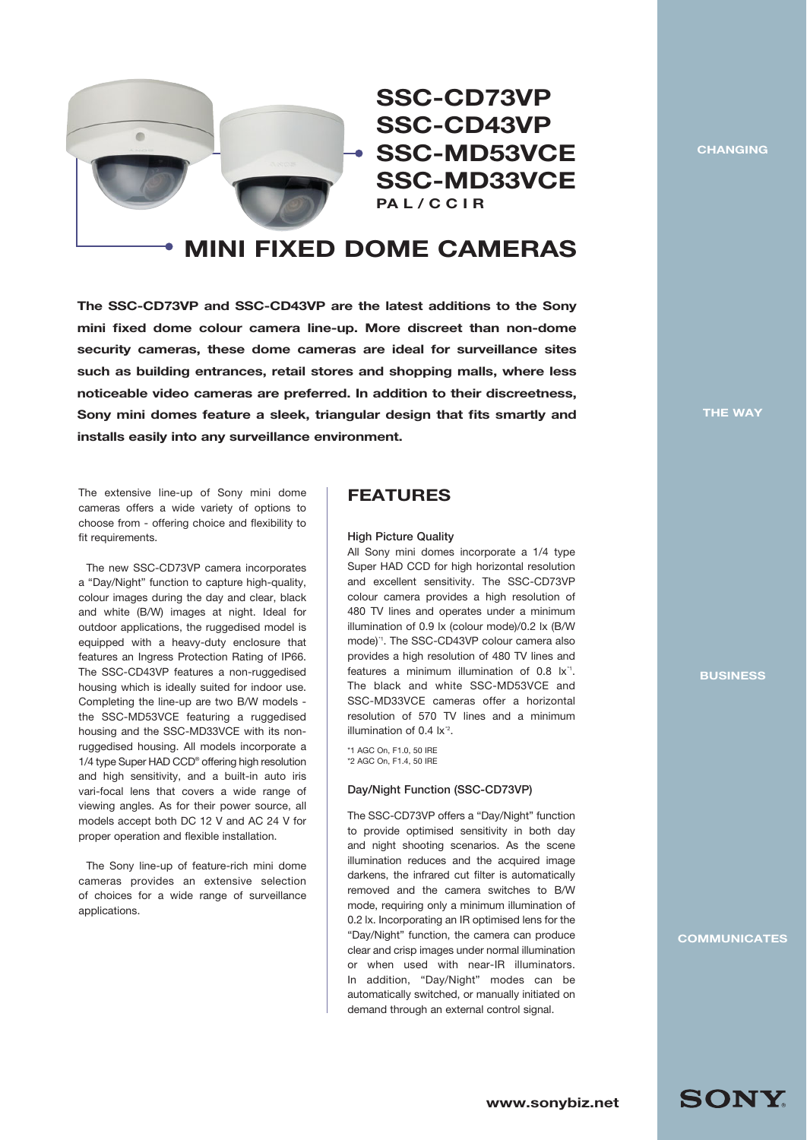

**SSC-CD73VP SSC-CD43VP SSC-MD53VCE SSC-MD33VCE PA L / C C I R**

# **MINI FIXED DOME CAMERAS**

**The SSC-CD73VP and SSC-CD43VP are the latest additions to the Sony mini fixed dome colour camera line-up. More discreet than non-dome security cameras, these dome cameras are ideal for surveillance sites such as building entrances, retail stores and shopping malls, where less noticeable video cameras are preferred. In addition to their discreetness, Sony mini domes feature a sleek, triangular design that fits smartly and installs easily into any surveillance environment.**

The extensive line-up of Sony mini dome cameras offers a wide variety of options to choose from - offering choice and flexibility to fit requirements.

The new SSC-CD73VP camera incorporates a "Day/Night" function to capture high-quality, colour images during the day and clear, black and white (B/W) images at night. Ideal for outdoor applications, the ruggedised model is equipped with a heavy-duty enclosure that features an Ingress Protection Rating of IP66. The SSC-CD43VP features a non-ruggedised housing which is ideally suited for indoor use. Completing the line-up are two B/W models the SSC-MD53VCE featuring a ruggedised housing and the SSC-MD33VCE with its nonruggedised housing. All models incorporate a 1/4 type Super HAD CCD® offering high resolution and high sensitivity, and a built-in auto iris vari-focal lens that covers a wide range of viewing angles. As for their power source, all models accept both DC 12 V and AC 24 V for proper operation and flexible installation.

The Sony line-up of feature-rich mini dome cameras provides an extensive selection of choices for a wide range of surveillance applications.

# **FEATURES**

#### High Picture Quality

All Sony mini domes incorporate a 1/4 type Super HAD CCD for high horizontal resolution and excellent sensitivity. The SSC-CD73VP colour camera provides a high resolution of 480 TV lines and operates under a minimum illumination of 0.9 lx (colour mode)/0.2 lx (B/W mode)<sup>\*</sup>1. The SSC-CD43VP colour camera also provides a high resolution of 480 TV lines and features a minimum illumination of  $0.8 \, \text{lx}^4$ . The black and white SSC-MD53VCE and SSC-MD33VCE cameras offer a horizontal resolution of 570 TV lines and a minimum illumination of 0.4  $\mathrm{lx}^2$ .

\*1 AGC On, F1.0, 50 IRE \*2 AGC On, F1.4, 50 IRE

#### Day/Night Function (SSC-CD73VP)

The SSC-CD73VP offers a "Day/Night" function to provide optimised sensitivity in both day and night shooting scenarios. As the scene illumination reduces and the acquired image darkens, the infrared cut filter is automatically removed and the camera switches to B/W mode, requiring only a minimum illumination of 0.2 lx. Incorporating an IR optimised lens for the "Day/Night" function, the camera can produce clear and crisp images under normal illumination or when used with near-IR illuminators. In addition, "Day/Night" modes can be automatically switched, or manually initiated on demand through an external control signal.

**CHANGING**

**THE WAY**

**BUSINESS**

**COMMUNICATES**

**SONY.**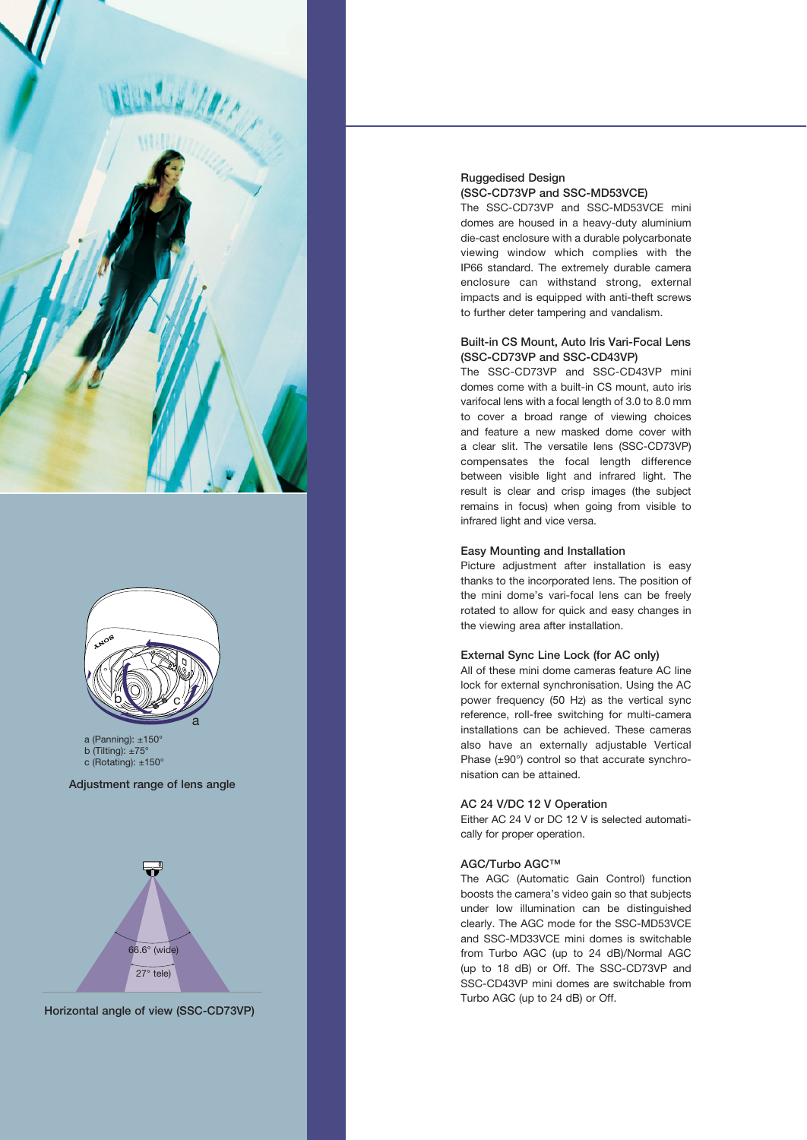



a (Panning): ±150° b (Tilting):  $±75^\circ$ 

c (Rotating): ±150°

Adjustment range of lens angle



Horizontal angle of view (SSC-CD73VP)

#### Ruggedised Design (SSC-CD73VP and SSC-MD53VCE)

The SSC-CD73VP and SSC-MD53VCE mini domes are housed in a heavy-duty aluminium die-cast enclosure with a durable polycarbonate viewing window which complies with the IP66 standard. The extremely durable camera enclosure can withstand strong, external impacts and is equipped with anti-theft screws to further deter tampering and vandalism.

#### Built-in CS Mount, Auto Iris Vari-Focal Lens (SSC-CD73VP and SSC-CD43VP)

The SSC-CD73VP and SSC-CD43VP mini domes come with a built-in CS mount, auto iris varifocal lens with a focal length of 3.0 to 8.0 mm to cover a broad range of viewing choices and feature a new masked dome cover with a clear slit. The versatile lens (SSC-CD73VP) compensates the focal length difference between visible light and infrared light. The result is clear and crisp images (the subject remains in focus) when going from visible to infrared light and vice versa.

#### Easy Mounting and Installation

Picture adjustment after installation is easy thanks to the incorporated lens. The position of the mini dome's vari-focal lens can be freely rotated to allow for quick and easy changes in the viewing area after installation.

#### External Sync Line Lock (for AC only)

All of these mini dome cameras feature AC line lock for external synchronisation. Using the AC power frequency (50 Hz) as the vertical sync reference, roll-free switching for multi-camera installations can be achieved. These cameras also have an externally adjustable Vertical Phase  $(\pm 90^\circ)$  control so that accurate synchronisation can be attained.

#### AC 24 V/DC 12 V Operation

Either AC 24 V or DC 12 V is selected automatically for proper operation.

#### AGC/Turbo AGC™

The AGC (Automatic Gain Control) function boosts the camera's video gain so that subjects under low illumination can be distinguished clearly. The AGC mode for the SSC-MD53VCE and SSC-MD33VCE mini domes is switchable from Turbo AGC (up to 24 dB)/Normal AGC (up to 18 dB) or Off. The SSC-CD73VP and SSC-CD43VP mini domes are switchable from Turbo AGC (up to 24 dB) or Off.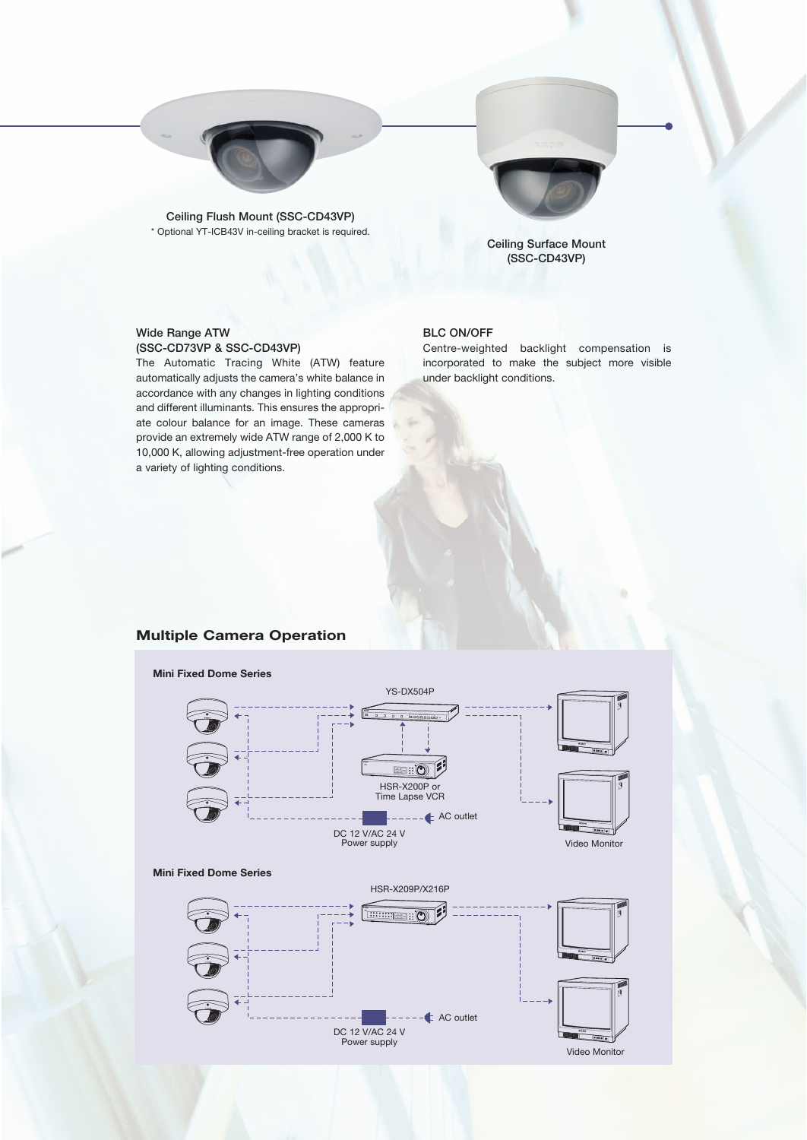

Ceiling Flush Mount (SSC-CD43VP) \* Optional YT-ICB43V in-ceiling bracket is required.



Ceiling Surface Mount (SSC-CD43VP)

#### Wide Range ATW (SSC-CD73VP & SSC-CD43VP)

The Automatic Tracing White (ATW) feature automatically adjusts the camera's white balance in accordance with any changes in lighting conditions and different illuminants. This ensures the appropriate colour balance for an image. These cameras provide an extremely wide ATW range of 2,000 K to 10,000 K, allowing adjustment-free operation under a variety of lighting conditions.

### BLC ON/OFF

Centre-weighted backlight compensation is incorporated to make the subject more visible under backlight conditions.

## **Multiple Camera Operation**